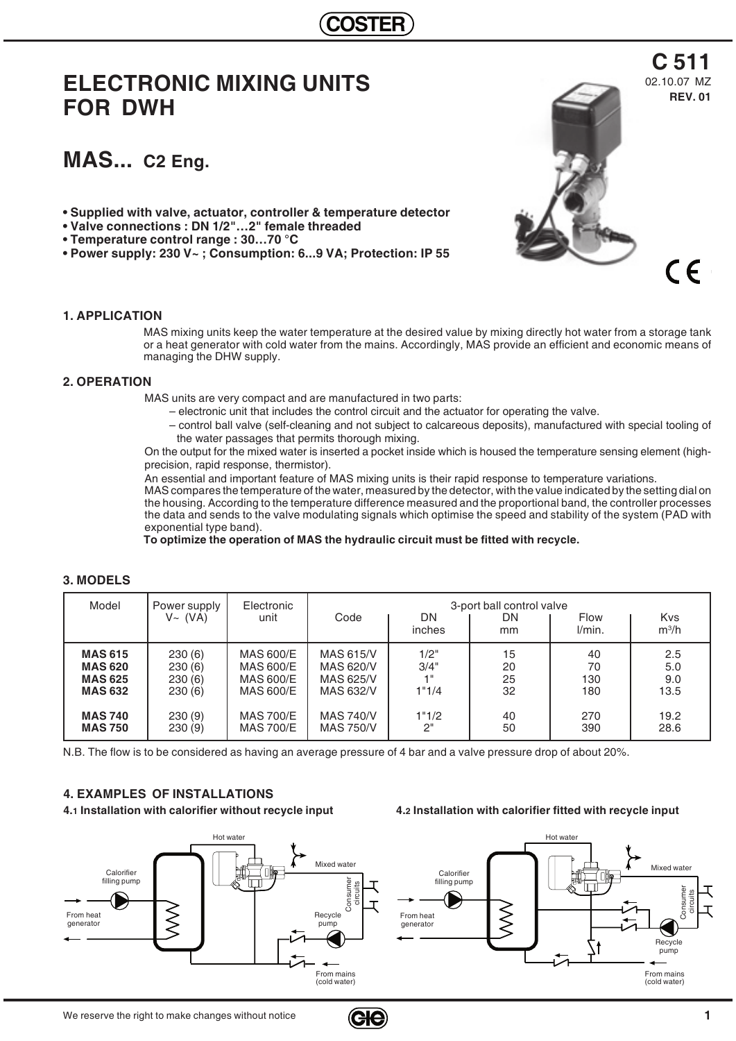# **ELECTRONIC MIXING UNITS FOR DWH**

# **MAS... C2 Eng.**

- **Supplied with valve, actuator, controller & temperature detector**
- **Valve connections : DN 1/2"…2" female threaded**
- **Temperature control range : 30…70 °C**
- **Power supply: 230 V~ ; Consumption: 6...9 VA; Protection: IP 55**

### **1. APPLICATION**

MAS mixing units keep the water temperature at the desired value by mixing directly hot water from a storage tank or a heat generator with cold water from the mains. Accordingly, MAS provide an efficient and economic means of managing the DHW supply.

### **2. OPERATION**

MAS units are very compact and are manufactured in two parts:

- electronic unit that includes the control circuit and the actuator for operating the valve.
- control ball valve (self-cleaning and not subject to calcareous deposits), manufactured with special tooling of the water passages that permits thorough mixing.

On the output for the mixed water is inserted a pocket inside which is housed the temperature sensing element (highprecision, rapid response, thermistor).

An essential and important feature of MAS mixing units is their rapid response to temperature variations.

MAS compares the temperature of the water, measured by the detector, with the value indicated by the setting dial on the housing. According to the temperature difference measured and the proportional band, the controller processes the data and sends to the valve modulating signals which optimise the speed and stability of the system (PAD with exponential type band).

**To optimize the operation of MAS the hydraulic circuit must be fitted with recycle.**

| Model          | Power supply<br>V~(VA) | Electronic<br>unit | Code             | DN.<br>inches   | 3-port ball control valve<br>DN<br>mm | <b>Flow</b><br>l/min. | <b>Kvs</b><br>$m^3/h$ |
|----------------|------------------------|--------------------|------------------|-----------------|---------------------------------------|-----------------------|-----------------------|
| <b>MAS 615</b> | 230(6)                 | <b>MAS 600/E</b>   | MAS 615/V        | 1/2"            | 15                                    | 40                    | 2.5                   |
| <b>MAS 620</b> | 230(6)                 | <b>MAS 600/E</b>   | MAS 620/V        | 3/4"            | 20                                    | 70                    | 5.0                   |
| <b>MAS 625</b> | 230(6)                 | MAS 600/E          | MAS 625/V        | 4 <sup>  </sup> | 25                                    | 130                   | 9.0                   |
| <b>MAS 632</b> | 230(6)                 | MAS 600/E          | MAS 632/V        | 1"1/4           | 32                                    | 180                   | 13.5                  |
| <b>MAS 740</b> | 230(9)                 | <b>MAS 700/E</b>   | <b>MAS 740/V</b> | 1"1/2           | 40                                    | 270                   | 19.2                  |
| <b>MAS 750</b> | 230(9)                 | <b>MAS 700/E</b>   | <b>MAS 750/V</b> | 2"              | 50                                    | 390                   | 28.6                  |

## **3. MODELS**

N.B. The flow is to be considered as having an average pressure of 4 bar and a valve pressure drop of about 20%.

## **4. EXAMPLES OF INSTALLATIONS**

**4.1 Installation with calorifier without recycle input 4.2 Installation with calorifier fitted with recycle input**





**REV. 01**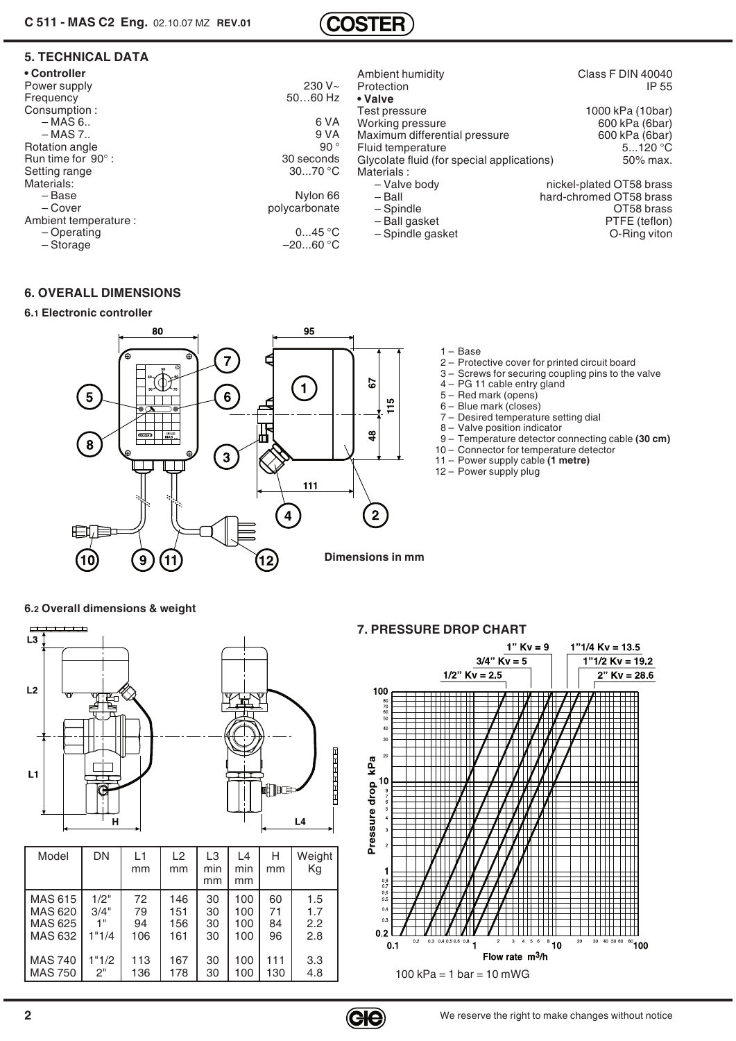

## **5. TECHNICAL DATA**

| • Controller              |               | Ambient humidity                           | Class F DIN 40040        |
|---------------------------|---------------|--------------------------------------------|--------------------------|
| Power supply              | $230 V -$     | Protection                                 | IP 55                    |
| Frequency                 | $5060$ Hz     | • Valve                                    |                          |
| Consumption:              |               | Test pressure                              | 1000 kPa (10bar)         |
| – MAS 6                   | 6 VA          | Working pressure                           | 600 kPa (6bar)           |
| $-MAS 7.$                 | 9 V A         | Maximum differential pressure              | 600 kPa (6bar)           |
| Rotation angle            | 90 $^{\circ}$ | Fluid temperature                          | $5120$ °C                |
| Run time for $90^\circ$ : | 30 seconds    | Glycolate fluid (for special applications) | 50% max.                 |
| Setting range             | 3070 °C       | Materials:                                 |                          |
| Materials:                |               | - Valve body                               | nickel-plated OT58 brass |
| – Base                    | Nylon 66      | – Ball                                     | hard-chromed OT58 brass  |
| – Cover                   | polycarbonate | - Spindle                                  | OT58 brass               |
| Ambient temperature :     |               | - Ball gasket                              | PTFE (teflon)            |
| - Operating               | 045 °C        | - Spindle gasket                           | O-Ring viton             |
| - Storage                 | $-2060 °C$    |                                            |                          |

## **6. OVERALL DIMENSIONS**

**6.1 Electronic controller**

#### 95 80 1 – Base  $\overline{7}$  2 – Protective cover for printed circuit board 3 – Screws for securing coupling pins to the valve 57 4 – PG 11 cable entry gland  $\left( 1\right)$  $6\phantom{a}$ 5 5 – Red mark (opens)  $115$  6 – Blue mark (closes) 7 – Desired temperature setting dial 돠 8 – Valve position indicator  $\frac{8}{3}$  9 – Temperature detector connecting cable **(30 cm)** 8 10 – Connector for temperature detector G  $\overline{\mathbf{3}}$  11 – Power supply cable **(1 metre)** 12 – Power supply plug $111$  $\mathbf{2}$  $\overline{4}$ **Dimensions in mm**  $\mathbf{9}$  $\mathbf{\hat{11}}$ 10  $\overline{12}$

**6.2 Overall dimensions & weight** 



**7. PRESSURE DROP CHART**

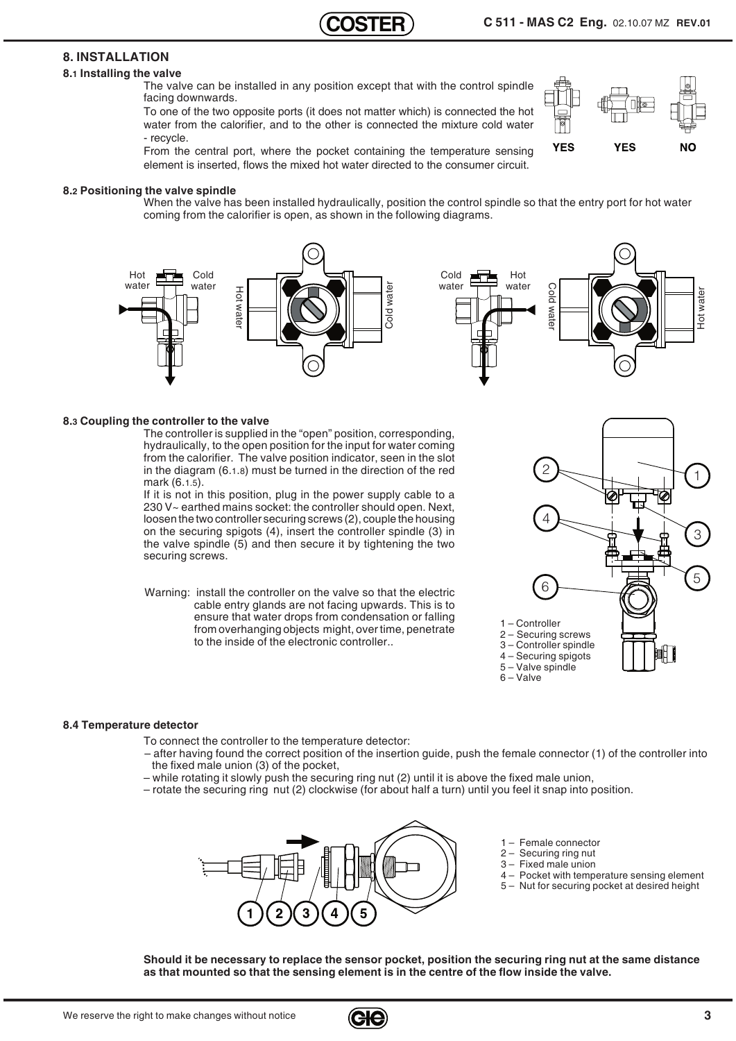**VFS** 

 $N<sub>0</sub>$ 

**YES** 

## **8. INSTALLATION**

## **8.1 Installing the valve**

The valve can be installed in any position except that with the control spindle facing downwards.

To one of the two opposite ports (it does not matter which) is connected the hot water from the calorifier, and to the other is connected the mixture cold water - recycle.

From the central port, where the pocket containing the temperature sensing element is inserted, flows the mixed hot water directed to the consumer circuit.

#### **8.2 Positioning the valve spindle**

When the valve has been installed hydraulically, position the control spindle so that the entry port for hot water coming from the calorifier is open, as shown in the following diagrams.



#### **8.3 Coupling the controller to the valve**

The controller is supplied in the "open" position, corresponding, hydraulically, to the open position for the input for water coming from the calorifier. The valve position indicator, seen in the slot in the diagram (6.1.8) must be turned in the direction of the red mark (6.1.5).

If it is not in this position, plug in the power supply cable to a 230 V~ earthed mains socket: the controller should open. Next, loosen the two controller securing screws (2), couple the housing on the securing spigots (4), insert the controller spindle (3) in the valve spindle (5) and then secure it by tightening the two securing screws.

Warning: install the controller on the valve so that the electric cable entry glands are not facing upwards. This is to ensure that water drops from condensation or falling from overhanging objects might, over time, penetrate to the inside of the electronic controller..



#### **8.4 Temperature detector**

To connect the controller to the temperature detector:

- after having found the correct position of the insertion guide, push the female connector (1) of the controller into the fixed male union (3) of the pocket,
- while rotating it slowly push the securing ring nut (2) until it is above the fixed male union,
- rotate the securing ring nut (2) clockwise (for about half a turn) until you feel it snap into position.



- 1 Female connector 2 – Securing ring nut
- 3 Fixed male union
- 
- 4 Pocket with temperature sensing element 5 – Nut for securing pocket at desired height

**Should it be necessary to replace the sensor pocket, position the securing ring nut at the same distance as that mounted so that the sensing element is in the centre of the flow inside the valve.**